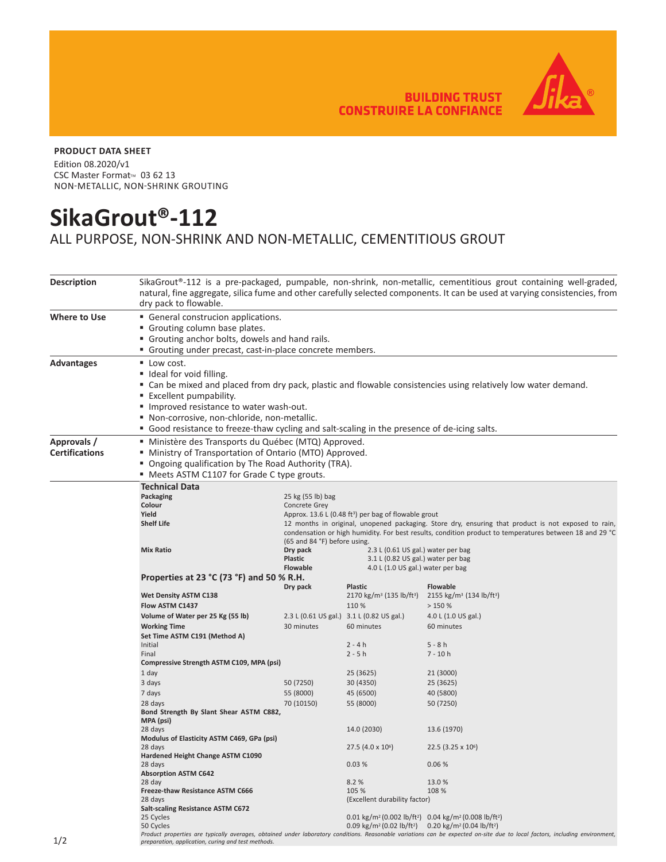**BUILDING TRUST CONSTRUIRE LA CONFIANCE** 



## **PRODUCT DATA SHEET**

Edition 08.2020/v1 CSC Master Format<sup>™</sup> 03 62 13 NON-METALLIC, NON-SHRINK GROUTING

## **SikaGrout®-112**

## ALL PURPOSE, NON-SHRINK AND NON-METALLIC, CEMENTITIOUS GROUT

| <b>Description</b>                   | SikaGrout®-112 is a pre-packaged, pumpable, non-shrink, non-metallic, cementitious grout containing well-graded,<br>natural, fine aggregate, silica fume and other carefully selected components. It can be used at varying consistencies, from<br>dry pack to flowable.                                                                                                         |                                                                                                                                                                                                                                                |                                                                                                               |                                                                                                                                                                             |  |  |
|--------------------------------------|----------------------------------------------------------------------------------------------------------------------------------------------------------------------------------------------------------------------------------------------------------------------------------------------------------------------------------------------------------------------------------|------------------------------------------------------------------------------------------------------------------------------------------------------------------------------------------------------------------------------------------------|---------------------------------------------------------------------------------------------------------------|-----------------------------------------------------------------------------------------------------------------------------------------------------------------------------|--|--|
| Where to Use                         | General construcion applications.<br>Grouting column base plates.<br>• Grouting anchor bolts, dowels and hand rails.<br>" Grouting under precast, cast-in-place concrete members.                                                                                                                                                                                                |                                                                                                                                                                                                                                                |                                                                                                               |                                                                                                                                                                             |  |  |
| <b>Advantages</b>                    | ■ Low cost.<br>" Ideal for void filling.<br>" Can be mixed and placed from dry pack, plastic and flowable consistencies using relatively low water demand.<br>■ Excellent pumpability.<br>Improved resistance to water wash-out.<br>" Non-corrosive, non-chloride, non-metallic.<br>• Good resistance to freeze-thaw cycling and salt-scaling in the presence of de-icing salts. |                                                                                                                                                                                                                                                |                                                                                                               |                                                                                                                                                                             |  |  |
| Approvals /<br><b>Certifications</b> | " Ministère des Transports du Québec (MTQ) Approved.<br>" Ministry of Transportation of Ontario (MTO) Approved.<br>" Ongoing qualification by The Road Authority (TRA).<br>• Meets ASTM C1107 for Grade C type grouts.                                                                                                                                                           |                                                                                                                                                                                                                                                |                                                                                                               |                                                                                                                                                                             |  |  |
|                                      | <b>Technical Data</b>                                                                                                                                                                                                                                                                                                                                                            |                                                                                                                                                                                                                                                |                                                                                                               |                                                                                                                                                                             |  |  |
|                                      | Packaging                                                                                                                                                                                                                                                                                                                                                                        | 25 kg (55 lb) bag                                                                                                                                                                                                                              |                                                                                                               |                                                                                                                                                                             |  |  |
|                                      | Colour                                                                                                                                                                                                                                                                                                                                                                           | Concrete Grey                                                                                                                                                                                                                                  |                                                                                                               |                                                                                                                                                                             |  |  |
|                                      | Yield<br><b>Shelf Life</b>                                                                                                                                                                                                                                                                                                                                                       | Approx. 13.6 L (0.48 ft <sup>3</sup> ) per bag of flowable grout                                                                                                                                                                               |                                                                                                               |                                                                                                                                                                             |  |  |
|                                      |                                                                                                                                                                                                                                                                                                                                                                                  | 12 months in original, unopened packaging. Store dry, ensuring that product is not exposed to rain,<br>condensation or high humidity. For best results, condition product to temperatures between 18 and 29 °C<br>(65 and 84 °F) before using. |                                                                                                               |                                                                                                                                                                             |  |  |
|                                      | <b>Mix Ratio</b>                                                                                                                                                                                                                                                                                                                                                                 | Dry pack<br><b>Plastic</b><br><b>Flowable</b>                                                                                                                                                                                                  | 2.3 L (0.61 US gal.) water per bag<br>3.1 L (0.82 US gal.) water per bag<br>4.0 L (1.0 US gal.) water per bag |                                                                                                                                                                             |  |  |
|                                      | Properties at 23 °C (73 °F) and 50 % R.H.                                                                                                                                                                                                                                                                                                                                        |                                                                                                                                                                                                                                                |                                                                                                               |                                                                                                                                                                             |  |  |
|                                      |                                                                                                                                                                                                                                                                                                                                                                                  | Dry pack                                                                                                                                                                                                                                       | <b>Plastic</b>                                                                                                | <b>Flowable</b>                                                                                                                                                             |  |  |
|                                      | <b>Wet Density ASTM C138</b>                                                                                                                                                                                                                                                                                                                                                     |                                                                                                                                                                                                                                                | 2170 kg/m <sup>3</sup> (135 lb/ft <sup>3</sup> ) 2155 kg/m <sup>3</sup> (134 lb/ft <sup>3</sup> )             |                                                                                                                                                                             |  |  |
|                                      | Flow ASTM C1437                                                                                                                                                                                                                                                                                                                                                                  |                                                                                                                                                                                                                                                | 110 %                                                                                                         | >150%                                                                                                                                                                       |  |  |
|                                      | Volume of Water per 25 Kg (55 lb)                                                                                                                                                                                                                                                                                                                                                |                                                                                                                                                                                                                                                | 2.3 L (0.61 US gal.) 3.1 L (0.82 US gal.)                                                                     | 4.0 L (1.0 US gal.)                                                                                                                                                         |  |  |
|                                      | <b>Working Time</b>                                                                                                                                                                                                                                                                                                                                                              | 30 minutes                                                                                                                                                                                                                                     | 60 minutes                                                                                                    | 60 minutes                                                                                                                                                                  |  |  |
|                                      | Set Time ASTM C191 (Method A)                                                                                                                                                                                                                                                                                                                                                    |                                                                                                                                                                                                                                                |                                                                                                               |                                                                                                                                                                             |  |  |
|                                      | Initial                                                                                                                                                                                                                                                                                                                                                                          |                                                                                                                                                                                                                                                | $2 - 4h$                                                                                                      | $5 - 8h$                                                                                                                                                                    |  |  |
|                                      | Final                                                                                                                                                                                                                                                                                                                                                                            |                                                                                                                                                                                                                                                | $2 - 5h$                                                                                                      | $7 - 10h$                                                                                                                                                                   |  |  |
|                                      | Compressive Strength ASTM C109, MPA (psi)                                                                                                                                                                                                                                                                                                                                        |                                                                                                                                                                                                                                                |                                                                                                               |                                                                                                                                                                             |  |  |
|                                      | 1 day                                                                                                                                                                                                                                                                                                                                                                            |                                                                                                                                                                                                                                                | 25 (3625)                                                                                                     | 21 (3000)                                                                                                                                                                   |  |  |
|                                      | 3 days                                                                                                                                                                                                                                                                                                                                                                           | 50 (7250)                                                                                                                                                                                                                                      | 30 (4350)                                                                                                     | 25 (3625)                                                                                                                                                                   |  |  |
|                                      | 7 days                                                                                                                                                                                                                                                                                                                                                                           | 55 (8000)                                                                                                                                                                                                                                      | 45 (6500)                                                                                                     | 40 (5800)                                                                                                                                                                   |  |  |
|                                      | 28 days<br>Bond Strength By Slant Shear ASTM C882,<br>MPA (psi)                                                                                                                                                                                                                                                                                                                  | 70 (10150)                                                                                                                                                                                                                                     | 55 (8000)                                                                                                     | 50 (7250)                                                                                                                                                                   |  |  |
|                                      | 28 days                                                                                                                                                                                                                                                                                                                                                                          |                                                                                                                                                                                                                                                | 14.0 (2030)                                                                                                   | 13.6 (1970)                                                                                                                                                                 |  |  |
|                                      | Modulus of Elasticity ASTM C469, GPa (psi)<br>28 days                                                                                                                                                                                                                                                                                                                            |                                                                                                                                                                                                                                                | 27.5 $(4.0 \times 10^6)$                                                                                      | $22.5(3.25 \times 10^6)$                                                                                                                                                    |  |  |
|                                      | Hardened Height Change ASTM C1090                                                                                                                                                                                                                                                                                                                                                |                                                                                                                                                                                                                                                |                                                                                                               |                                                                                                                                                                             |  |  |
|                                      | 28 days                                                                                                                                                                                                                                                                                                                                                                          |                                                                                                                                                                                                                                                | 0.03%                                                                                                         | 0.06%                                                                                                                                                                       |  |  |
|                                      | <b>Absorption ASTM C642</b>                                                                                                                                                                                                                                                                                                                                                      |                                                                                                                                                                                                                                                |                                                                                                               |                                                                                                                                                                             |  |  |
|                                      | 28 day                                                                                                                                                                                                                                                                                                                                                                           |                                                                                                                                                                                                                                                | 8.2%                                                                                                          | 13.0%                                                                                                                                                                       |  |  |
|                                      | Freeze-thaw Resistance ASTM C666<br>105 %<br>108 %                                                                                                                                                                                                                                                                                                                               |                                                                                                                                                                                                                                                |                                                                                                               |                                                                                                                                                                             |  |  |
|                                      | (Excellent durability factor)<br>28 days                                                                                                                                                                                                                                                                                                                                         |                                                                                                                                                                                                                                                |                                                                                                               |                                                                                                                                                                             |  |  |
|                                      | <b>Salt-scaling Resistance ASTM C672</b><br>25 Cycles                                                                                                                                                                                                                                                                                                                            |                                                                                                                                                                                                                                                |                                                                                                               | 0.01 kg/m <sup>2</sup> (0.002 lb/ft <sup>2</sup> ) 0.04 kg/m <sup>2</sup> (0.008 lb/ft <sup>2</sup> )                                                                       |  |  |
|                                      | 50 Cycles                                                                                                                                                                                                                                                                                                                                                                        |                                                                                                                                                                                                                                                | 0.09 kg/m <sup>2</sup> (0.02 lb/ft <sup>2</sup> ) 0.20 kg/m <sup>2</sup> (0.04 lb/ft <sup>2</sup> )           |                                                                                                                                                                             |  |  |
|                                      |                                                                                                                                                                                                                                                                                                                                                                                  |                                                                                                                                                                                                                                                |                                                                                                               | Product properties are typically averages, obtained under laboratory conditions. Reasonable variations can be expected on-site due to local factors, including environment, |  |  |
| 1/2                                  | preparation, application, curing and test methods.                                                                                                                                                                                                                                                                                                                               |                                                                                                                                                                                                                                                |                                                                                                               |                                                                                                                                                                             |  |  |